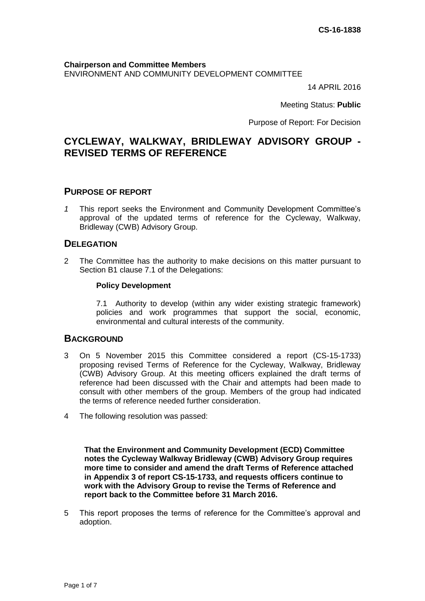#### **Chairperson and Committee Members** ENVIRONMENT AND COMMUNITY DEVELOPMENT COMMITTEE

14 APRIL 2016

Meeting Status: **Public**

Purpose of Report: For Decision

# **CYCLEWAY, WALKWAY, BRIDLEWAY ADVISORY GROUP - REVISED TERMS OF REFERENCE**

# **PURPOSE OF REPORT**

*1* This report seeks the Environment and Community Development Committee's approval of the updated terms of reference for the Cycleway, Walkway, Bridleway (CWB) Advisory Group.

## **DELEGATION**

2 The Committee has the authority to make decisions on this matter pursuant to Section B1 clause 7.1 of the Delegations:

#### **Policy Development**

7.1 Authority to develop (within any wider existing strategic framework) policies and work programmes that support the social, economic, environmental and cultural interests of the community.

## **BACKGROUND**

- 3 On 5 November 2015 this Committee considered a report (CS-15-1733) proposing revised Terms of Reference for the Cycleway, Walkway, Bridleway (CWB) Advisory Group. At this meeting officers explained the draft terms of reference had been discussed with the Chair and attempts had been made to consult with other members of the group. Members of the group had indicated the terms of reference needed further consideration.
- 4 The following resolution was passed:

**That the Environment and Community Development (ECD) Committee notes the Cycleway Walkway Bridleway (CWB) Advisory Group requires more time to consider and amend the draft Terms of Reference attached in Appendix 3 of report CS-15-1733, and requests officers continue to work with the Advisory Group to revise the Terms of Reference and report back to the Committee before 31 March 2016.**

5 This report proposes the terms of reference for the Committee's approval and adoption.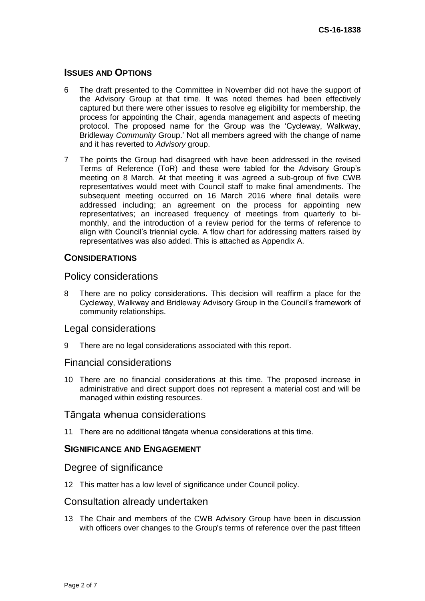# **ISSUES AND OPTIONS**

- 6 The draft presented to the Committee in November did not have the support of the Advisory Group at that time. It was noted themes had been effectively captured but there were other issues to resolve eg eligibility for membership, the process for appointing the Chair, agenda management and aspects of meeting protocol. The proposed name for the Group was the 'Cycleway, Walkway, Bridleway *Community* Group.' Not all members agreed with the change of name and it has reverted to *Advisory* group.
- 7 The points the Group had disagreed with have been addressed in the revised Terms of Reference (ToR) and these were tabled for the Advisory Group's meeting on 8 March. At that meeting it was agreed a sub-group of five CWB representatives would meet with Council staff to make final amendments. The subsequent meeting occurred on 16 March 2016 where final details were addressed including; an agreement on the process for appointing new representatives; an increased frequency of meetings from quarterly to bimonthly, and the introduction of a review period for the terms of reference to align with Council's triennial cycle. A flow chart for addressing matters raised by representatives was also added. This is attached as Appendix A.

# **CONSIDERATIONS**

# Policy considerations

8 There are no policy considerations. This decision will reaffirm a place for the Cycleway, Walkway and Bridleway Advisory Group in the Council's framework of community relationships.

## Legal considerations

9 There are no legal considerations associated with this report.

## Financial considerations

10 There are no financial considerations at this time. The proposed increase in administrative and direct support does not represent a material cost and will be managed within existing resources.

# Tāngata whenua considerations

11 There are no additional tāngata whenua considerations at this time.

# **SIGNIFICANCE AND ENGAGEMENT**

# Degree of significance

12 This matter has a low level of significance under Council policy.

## Consultation already undertaken

13 The Chair and members of the CWB Advisory Group have been in discussion with officers over changes to the Group's terms of reference over the past fifteen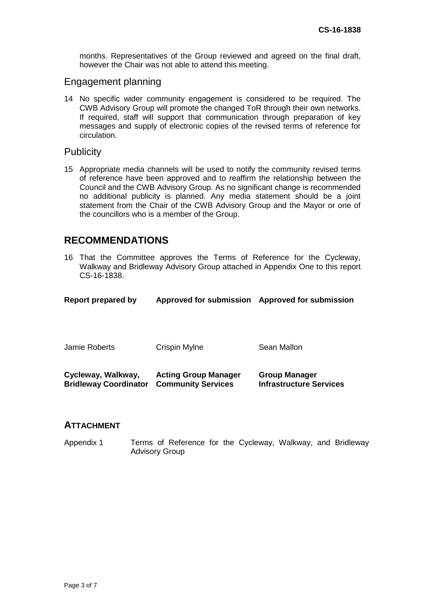months. Representatives of the Group reviewed and agreed on the final draft, however the Chair was not able to attend this meeting.

# Engagement planning

14 No specific wider community engagement is considered to be required. The CWB Advisory Group will promote the changed ToR through their own networks. If required, staff will support that communication through preparation of key messages and supply of electronic copies of the revised terms of reference for circulation.

## **Publicity**

15 Appropriate media channels will be used to notify the community revised terms of reference have been approved and to reaffirm the relationship between the Council and the CWB Advisory Group. As no significant change is recommended no additional publicity is planned. Any media statement should be a joint statement from the Chair of the CWB Advisory Group and the Mayor or one of the councillors who is a member of the Group.

# **RECOMMENDATIONS**

16 That the Committee approves the Terms of Reference for the Cycleway, Walkway and Bridleway Advisory Group attached in Appendix One to this report CS-16-1838.

| <b>Report prepared by</b>                          | <b>Approved for submission</b>                           | <b>Approved for submission</b>                         |
|----------------------------------------------------|----------------------------------------------------------|--------------------------------------------------------|
| Jamie Roberts                                      | Crispin Mylne                                            | Sean Mallon                                            |
| Cycleway, Walkway,<br><b>Bridleway Coordinator</b> | <b>Acting Group Manager</b><br><b>Community Services</b> | <b>Group Manager</b><br><b>Infrastructure Services</b> |

## **ATTACHMENT**

Appendix 1 Terms of Reference for the Cycleway, Walkway, and Bridleway Advisory Group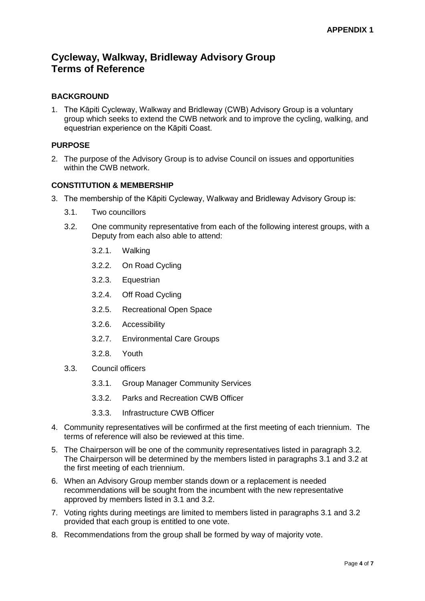# **Cycleway, Walkway, Bridleway Advisory Group Terms of Reference**

# **BACKGROUND**

1. The Kāpiti Cycleway, Walkway and Bridleway (CWB) Advisory Group is a voluntary group which seeks to extend the CWB network and to improve the cycling, walking, and equestrian experience on the Kāpiti Coast.

## **PURPOSE**

2. The purpose of the Advisory Group is to advise Council on issues and opportunities within the CWB network.

#### **CONSTITUTION & MEMBERSHIP**

- 3. The membership of the Kāpiti Cycleway, Walkway and Bridleway Advisory Group is:
	- 3.1. Two councillors
	- 3.2. One community representative from each of the following interest groups, with a Deputy from each also able to attend:
		- 3.2.1. Walking
		- 3.2.2. On Road Cycling
		- 3.2.3. Equestrian
		- 3.2.4. Off Road Cycling
		- 3.2.5. Recreational Open Space
		- 3.2.6. Accessibility
		- 3.2.7. Environmental Care Groups
		- 3.2.8. Youth
	- 3.3. Council officers
		- 3.3.1. Group Manager Community Services
		- 3.3.2. Parks and Recreation CWB Officer
		- 3.3.3. Infrastructure CWB Officer
- 4. Community representatives will be confirmed at the first meeting of each triennium. The terms of reference will also be reviewed at this time.
- 5. The Chairperson will be one of the community representatives listed in paragraph 3.2. The Chairperson will be determined by the members listed in paragraphs 3.1 and 3.2 at the first meeting of each triennium.
- 6. When an Advisory Group member stands down or a replacement is needed recommendations will be sought from the incumbent with the new representative approved by members listed in 3.1 and 3.2.
- 7. Voting rights during meetings are limited to members listed in paragraphs 3.1 and 3.2 provided that each group is entitled to one vote.
- 8. Recommendations from the group shall be formed by way of majority vote.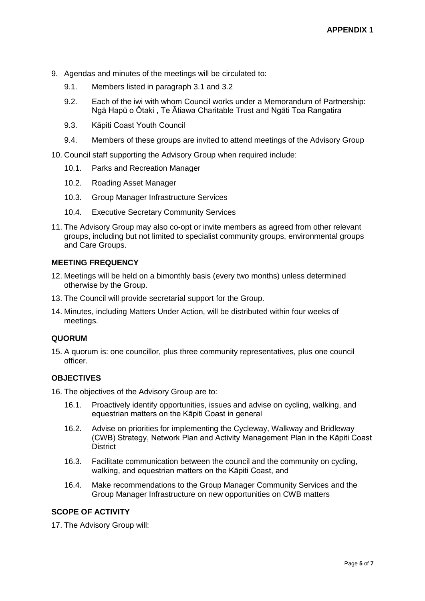- 9. Agendas and minutes of the meetings will be circulated to:
	- 9.1. Members listed in paragraph 3.1 and 3.2
	- 9.2. Each of the iwi with whom Council works under a Memorandum of Partnership: Ngā Hapū o Ōtaki , Te Ātiawa Charitable Trust and Ngāti Toa Rangatira
	- 9.3. Kāpiti Coast Youth Council
	- 9.4. Members of these groups are invited to attend meetings of the Advisory Group
- 10. Council staff supporting the Advisory Group when required include:
	- 10.1. Parks and Recreation Manager
	- 10.2. Roading Asset Manager
	- 10.3. Group Manager Infrastructure Services
	- 10.4. Executive Secretary Community Services
- 11. The Advisory Group may also co-opt or invite members as agreed from other relevant groups, including but not limited to specialist community groups, environmental groups and Care Groups.

#### **MEETING FREQUENCY**

- 12. Meetings will be held on a bimonthly basis (every two months) unless determined otherwise by the Group.
- 13. The Council will provide secretarial support for the Group.
- 14. Minutes, including Matters Under Action, will be distributed within four weeks of meetings.

#### **QUORUM**

15. A quorum is: one councillor, plus three community representatives, plus one council officer.

#### **OBJECTIVES**

- 16. The objectives of the Advisory Group are to:
	- 16.1. Proactively identify opportunities, issues and advise on cycling, walking, and equestrian matters on the Kāpiti Coast in general
	- 16.2. Advise on priorities for implementing the Cycleway, Walkway and Bridleway (CWB) Strategy, Network Plan and Activity Management Plan in the Kāpiti Coast **District**
	- 16.3. Facilitate communication between the council and the community on cycling, walking, and equestrian matters on the Kāpiti Coast, and
	- 16.4. Make recommendations to the Group Manager Community Services and the Group Manager Infrastructure on new opportunities on CWB matters

#### **SCOPE OF ACTIVITY**

17. The Advisory Group will: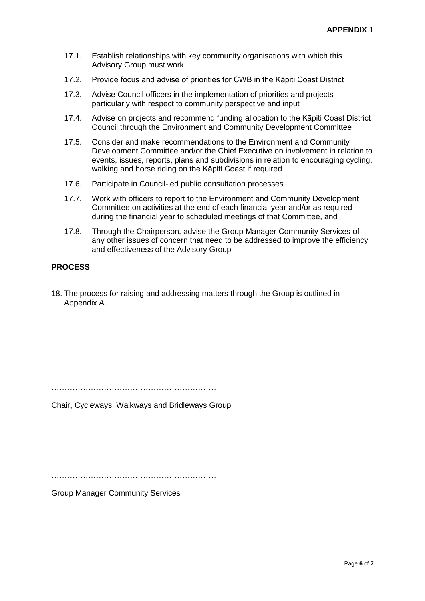- 17.1. Establish relationships with key community organisations with which this Advisory Group must work
- 17.2. Provide focus and advise of priorities for CWB in the Kāpiti Coast District
- 17.3. Advise Council officers in the implementation of priorities and projects particularly with respect to community perspective and input
- 17.4. Advise on projects and recommend funding allocation to the Kāpiti Coast District Council through the Environment and Community Development Committee
- 17.5. Consider and make recommendations to the Environment and Community Development Committee and/or the Chief Executive on involvement in relation to events, issues, reports, plans and subdivisions in relation to encouraging cycling, walking and horse riding on the Kāpiti Coast if required
- 17.6. Participate in Council-led public consultation processes
- 17.7. Work with officers to report to the Environment and Community Development Committee on activities at the end of each financial year and/or as required during the financial year to scheduled meetings of that Committee, and
- 17.8. Through the Chairperson, advise the Group Manager Community Services of any other issues of concern that need to be addressed to improve the efficiency and effectiveness of the Advisory Group

# **PROCESS**

18. The process for raising and addressing matters through the Group is outlined in Appendix A.

………………………………………………………

Chair, Cycleways, Walkways and Bridleways Group

………………………………………………………

Group Manager Community Services